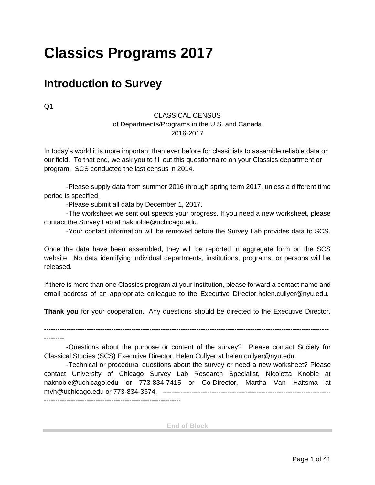# **Classics Programs 2017**

#### **Introduction to Survey**

Q1

#### CLASSICAL CENSUS of Departments/Programs in the U.S. and Canada 2016-2017

In today's world it is more important than ever before for classicists to assemble reliable data on our field. To that end, we ask you to fill out this questionnaire on your Classics department or program. SCS conducted the last census in 2014.

 -Please supply data from summer 2016 through spring term 2017, unless a different time period is specified.

-Please submit all data by December 1, 2017.

-The worksheet we sent out speeds your progress. If you need a new worksheet, please contact the Survey Lab at naknoble@uchicago.edu.

-Your contact information will be removed before the Survey Lab provides data to SCS.

Once the data have been assembled, they will be reported in aggregate form on the SCS website. No data identifying individual departments, institutions, programs, or persons will be released.

If there is more than one Classics program at your institution, please forward a contact name and email address of an appropriate colleague to the Executive Director helen.cullyer@nyu.edu.

**Thank you** for your cooperation. Any questions should be directed to the Executive Director.

-------------------------------------------------------------------------------------------------------------------------------

---------

 -Questions about the purpose or content of the survey? Please contact Society for Classical Studies (SCS) Executive Director, Helen Cullyer at helen.cullyer@nyu.edu.

-Technical or procedural questions about the survey or need a new worksheet? Please contact University of Chicago Survey Lab Research Specialist, Nicoletta Knoble at naknoble@uchicago.edu or 773-834-7415 or Co-Director, Martha Van Haitsma at mvh@uchicago.edu or 773-834-3674. --------------------------------------------------------------------------- -------------------------------------------------------------

**End of Block**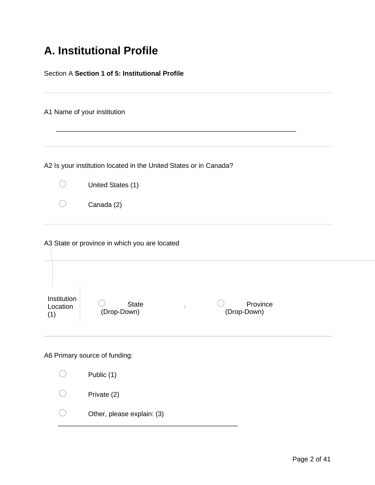## **A. Institutional Profile**

| Section A Section 1 of 5: Institutional Profile |                                                                                                         |  |  |
|-------------------------------------------------|---------------------------------------------------------------------------------------------------------|--|--|
|                                                 | A1 Name of your institution                                                                             |  |  |
|                                                 | A2 Is your institution located in the United States or in Canada?                                       |  |  |
|                                                 | United States (1)                                                                                       |  |  |
|                                                 | Canada (2)                                                                                              |  |  |
| Institution<br>Location<br>(1)                  | A3 State or province in which you are located<br>Province<br><b>State</b><br>(Drop-Down)<br>(Drop-Down) |  |  |
|                                                 | A6 Primary source of funding:                                                                           |  |  |
|                                                 | Public (1)                                                                                              |  |  |
|                                                 | Private (2)                                                                                             |  |  |
|                                                 | Other, please explain: (3)                                                                              |  |  |
|                                                 |                                                                                                         |  |  |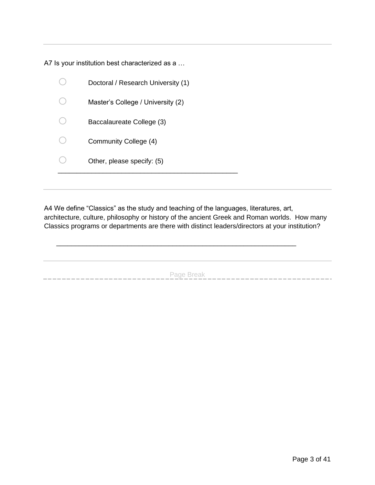A7 Is your institution best characterized as a …

| Doctoral / Research University (1) |
|------------------------------------|
| Master's College / University (2)  |
| Baccalaureate College (3)          |
| Community College (4)              |
| Other, please specify: (5)         |
|                                    |

A4 We define "Classics" as the study and teaching of the languages, literatures, art, architecture, culture, philosophy or history of the ancient Greek and Roman worlds. How many Classics programs or departments are there with distinct leaders/directors at your institution?

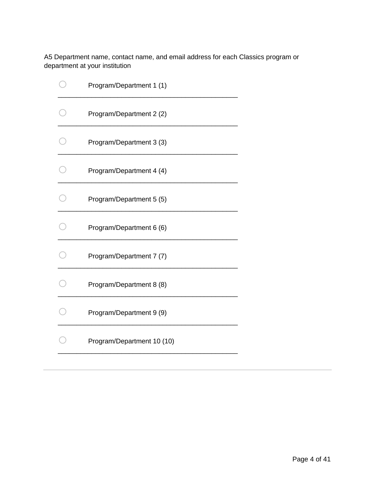A5 Department name, contact name, and email address for each Classics program or department at your institution

| Program/Department 1 (1)   |
|----------------------------|
| Program/Department 2 (2)   |
| Program/Department 3 (3)   |
| Program/Department 4 (4)   |
| Program/Department 5 (5)   |
| Program/Department 6 (6)   |
| Program/Department 7 (7)   |
| Program/Department 8 (8)   |
| Program/Department 9 (9)   |
| Program/Department 10 (10) |
|                            |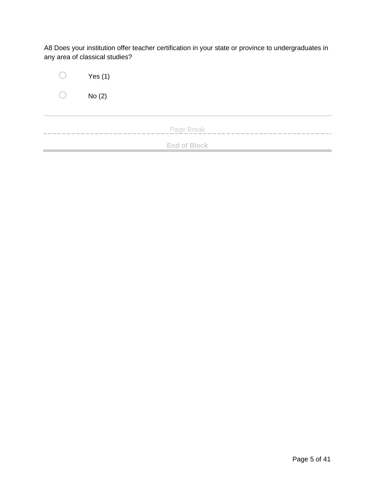A8 Does your institution offer teacher certification in your state or province to undergraduates in any area of classical studies?

| $\left( \quad \right)$ | Yes $(1)$           |
|------------------------|---------------------|
| $($ )                  | No(2)               |
|                        |                     |
| __                     | Page Break          |
|                        | <b>End of Block</b> |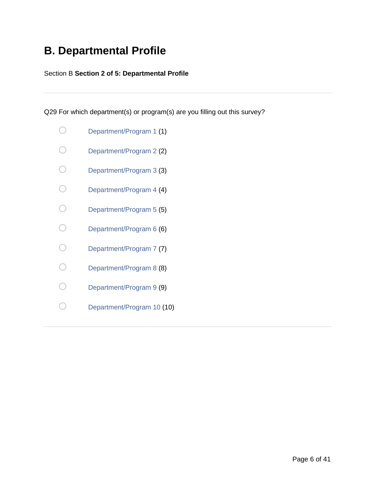### **B. Departmental Profile**

#### Section B **Section 2 of 5: Departmental Profile**

Q29 For which department(s) or program(s) are you filling out this survey?

|    | Department/Program 1 (1)   |
|----|----------------------------|
|    | Department/Program 2 (2)   |
|    | Department/Program 3 (3)   |
|    | Department/Program 4 (4)   |
|    | Department/Program 5 (5)   |
|    | Department/Program 6 (6)   |
|    | Department/Program 7 (7)   |
| r. | Department/Program 8 (8)   |
|    | Department/Program 9 (9)   |
|    | Department/Program 10 (10) |
|    |                            |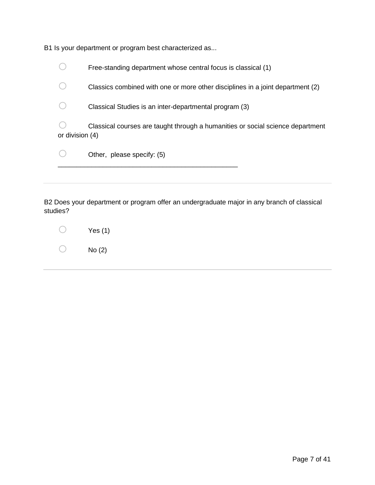|                 | B1 Is your department or program best characterized as                         |
|-----------------|--------------------------------------------------------------------------------|
|                 | Free-standing department whose central focus is classical (1)                  |
|                 | Classics combined with one or more other disciplines in a joint department (2) |
|                 | Classical Studies is an inter-departmental program (3)                         |
| or division (4) | Classical courses are taught through a humanities or social science department |
|                 | Other, please specify: (5)                                                     |
|                 |                                                                                |

B2 Does your department or program offer an undergraduate major in any branch of classical studies?

| Yes $(1)$ |
|-----------|
| No(2)     |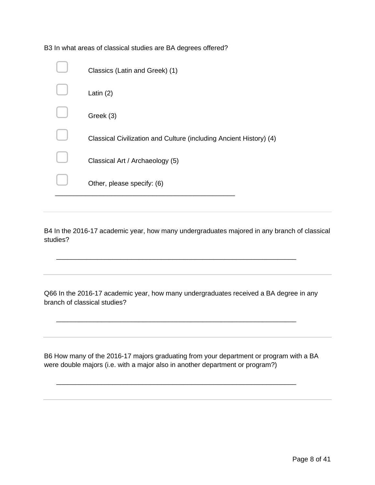| Classics (Latin and Greek) (1)                                     |
|--------------------------------------------------------------------|
| Latin $(2)$                                                        |
| Greek (3)                                                          |
| Classical Civilization and Culture (including Ancient History) (4) |
| Classical Art / Archaeology (5)                                    |
| Other, please specify: (6)                                         |

B3 In what areas of classical studies are BA degrees offered?

B4 In the 2016-17 academic year, how many undergraduates majored in any branch of classical studies?

Q66 In the 2016-17 academic year, how many undergraduates received a BA degree in any branch of classical studies?

\_\_\_\_\_\_\_\_\_\_\_\_\_\_\_\_\_\_\_\_\_\_\_\_\_\_\_\_\_\_\_\_\_\_\_\_\_\_\_\_\_\_\_\_\_\_\_\_\_\_\_\_\_\_\_\_\_\_\_\_\_\_\_\_

\_\_\_\_\_\_\_\_\_\_\_\_\_\_\_\_\_\_\_\_\_\_\_\_\_\_\_\_\_\_\_\_\_\_\_\_\_\_\_\_\_\_\_\_\_\_\_\_\_\_\_\_\_\_\_\_\_\_\_\_\_\_\_\_

B6 How many of the 2016-17 majors graduating from your department or program with a BA were double majors (i.e. with a major also in another department or program?)

\_\_\_\_\_\_\_\_\_\_\_\_\_\_\_\_\_\_\_\_\_\_\_\_\_\_\_\_\_\_\_\_\_\_\_\_\_\_\_\_\_\_\_\_\_\_\_\_\_\_\_\_\_\_\_\_\_\_\_\_\_\_\_\_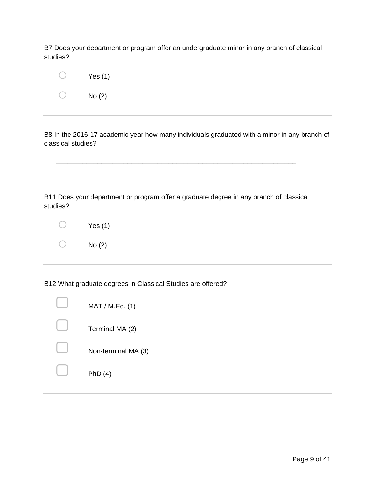B7 Does your department or program offer an undergraduate minor in any branch of classical studies?

| Yes $(1)$ |
|-----------|
| No (2)    |

B8 In the 2016-17 academic year how many individuals graduated with a minor in any branch of classical studies?

B11 Does your department or program offer a graduate degree in any branch of classical studies?

\_\_\_\_\_\_\_\_\_\_\_\_\_\_\_\_\_\_\_\_\_\_\_\_\_\_\_\_\_\_\_\_\_\_\_\_\_\_\_\_\_\_\_\_\_\_\_\_\_\_\_\_\_\_\_\_\_\_\_\_\_\_\_\_

| Yes $(1)$ |
|-----------|
| No(2)     |

B12 What graduate degrees in Classical Studies are offered?

| MAT / M.Ed. (1)     |
|---------------------|
| Terminal MA (2)     |
| Non-terminal MA (3) |
| PhD(4)              |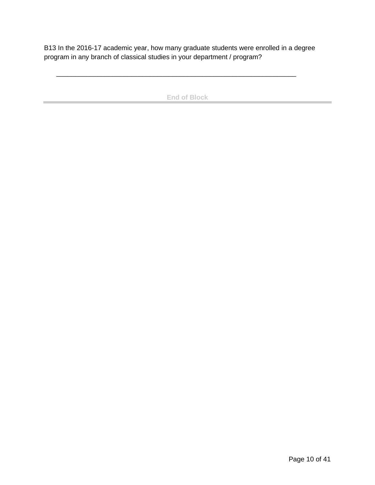B13 In the 2016-17 academic year, how many graduate students were enrolled in a degree program in any branch of classical studies in your department / program?

\_\_\_\_\_\_\_\_\_\_\_\_\_\_\_\_\_\_\_\_\_\_\_\_\_\_\_\_\_\_\_\_\_\_\_\_\_\_\_\_\_\_\_\_\_\_\_\_\_\_\_\_\_\_\_\_\_\_\_\_\_\_\_\_

 $\sim$ 

**End of Block**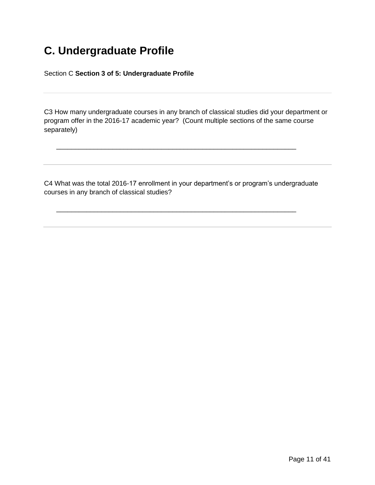### **C. Undergraduate Profile**

Section C **Section 3 of 5: Undergraduate Profile**

C3 How many undergraduate courses in any branch of classical studies did your department or program offer in the 2016-17 academic year? (Count multiple sections of the same course separately)

C4 What was the total 2016-17 enrollment in your department's or program's undergraduate courses in any branch of classical studies?

\_\_\_\_\_\_\_\_\_\_\_\_\_\_\_\_\_\_\_\_\_\_\_\_\_\_\_\_\_\_\_\_\_\_\_\_\_\_\_\_\_\_\_\_\_\_\_\_\_\_\_\_\_\_\_\_\_\_\_\_\_\_\_\_

\_\_\_\_\_\_\_\_\_\_\_\_\_\_\_\_\_\_\_\_\_\_\_\_\_\_\_\_\_\_\_\_\_\_\_\_\_\_\_\_\_\_\_\_\_\_\_\_\_\_\_\_\_\_\_\_\_\_\_\_\_\_\_\_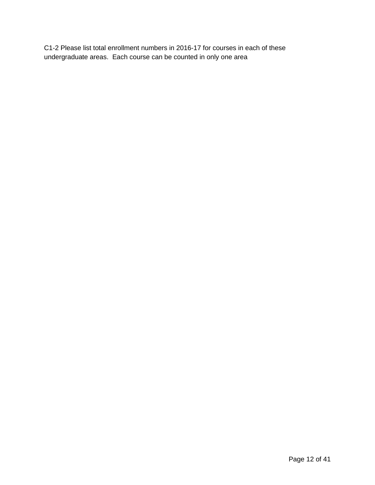C1-2 Please list total enrollment numbers in 2016-17 for courses in each of these undergraduate areas. Each course can be counted in only one area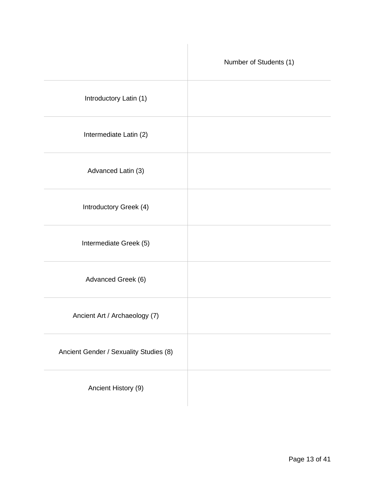|                                        | Number of Students (1) |
|----------------------------------------|------------------------|
| Introductory Latin (1)                 |                        |
| Intermediate Latin (2)                 |                        |
| Advanced Latin (3)                     |                        |
| Introductory Greek (4)                 |                        |
| Intermediate Greek (5)                 |                        |
| Advanced Greek (6)                     |                        |
| Ancient Art / Archaeology (7)          |                        |
| Ancient Gender / Sexuality Studies (8) |                        |
| Ancient History (9)                    |                        |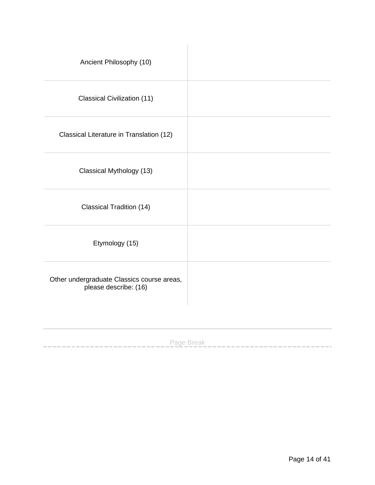| Ancient Philosophy (10)                                             |  |
|---------------------------------------------------------------------|--|
| Classical Civilization (11)                                         |  |
| Classical Literature in Translation (12)                            |  |
| Classical Mythology (13)                                            |  |
| <b>Classical Tradition (14)</b>                                     |  |
| Etymology (15)                                                      |  |
| Other undergraduate Classics course areas,<br>please describe: (16) |  |
|                                                                     |  |

Page Break

---------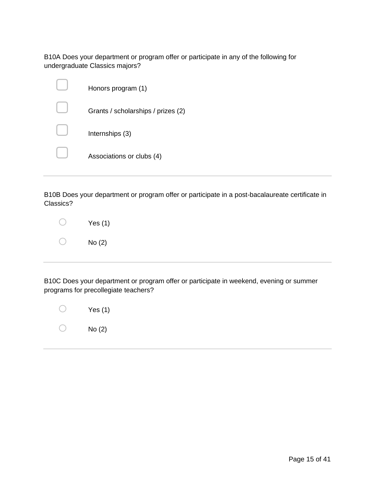B10A Does your department or program offer or participate in any of the following for undergraduate Classics majors?

| Honors program (1)                 |
|------------------------------------|
| Grants / scholarships / prizes (2) |
| Internships (3)                    |
| Associations or clubs (4)          |
|                                    |

B10B Does your department or program offer or participate in a post-bacalaureate certificate in Classics?

| Yes $(1)$ |
|-----------|
| No (2)    |

B10C Does your department or program offer or participate in weekend, evening or summer programs for precollegiate teachers?

| Yes $(1)$ |
|-----------|
| No(2)     |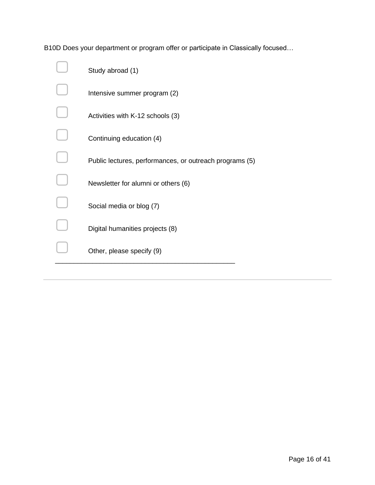B10D Does your department or program offer or participate in Classically focused…

| Study abroad (1)                                        |
|---------------------------------------------------------|
| Intensive summer program (2)                            |
| Activities with K-12 schools (3)                        |
| Continuing education (4)                                |
| Public lectures, performances, or outreach programs (5) |
| Newsletter for alumni or others (6)                     |
| Social media or blog (7)                                |
| Digital humanities projects (8)                         |
| Other, please specify (9)                               |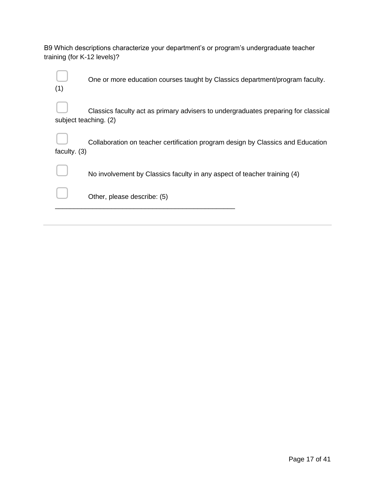| B9 Which descriptions characterize your department's or program's undergraduate teacher |  |
|-----------------------------------------------------------------------------------------|--|
| training (for K-12 levels)?                                                             |  |

| (1)            | One or more education courses taught by Classics department/program faculty.                                |
|----------------|-------------------------------------------------------------------------------------------------------------|
|                | Classics faculty act as primary advisers to undergraduates preparing for classical<br>subject teaching. (2) |
| faculty. $(3)$ | Collaboration on teacher certification program design by Classics and Education                             |
|                | No involvement by Classics faculty in any aspect of teacher training (4)                                    |
|                | Other, please describe: (5)                                                                                 |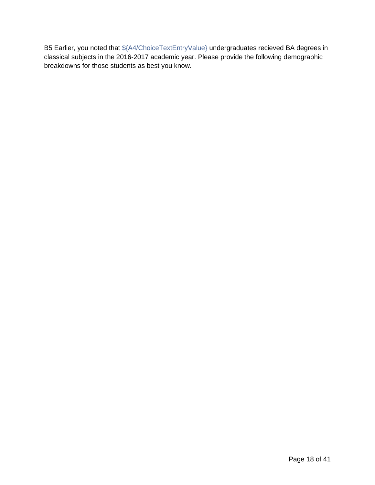B5 Earlier, you noted that \${A4/ChoiceTextEntryValue} undergraduates recieved BA degrees in classical subjects in the 2016-2017 academic year. Please provide the following demographic breakdowns for those students as best you know.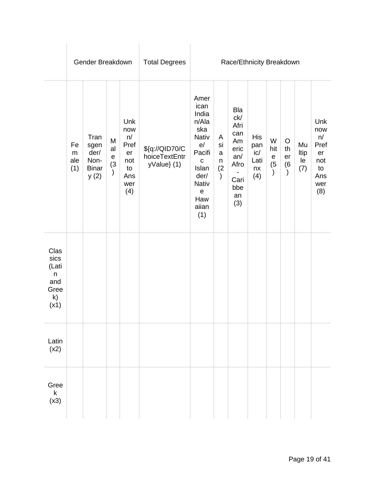|                                                                   | Gender Breakdown              |                                                      | <b>Total Degrees</b>               | Race/Ethnicity Breakdown                                         |                                                |                                                                                                                                                                    |                                                      |                                                                                    |                                               |                                           |                            |                         |                                                                  |
|-------------------------------------------------------------------|-------------------------------|------------------------------------------------------|------------------------------------|------------------------------------------------------------------|------------------------------------------------|--------------------------------------------------------------------------------------------------------------------------------------------------------------------|------------------------------------------------------|------------------------------------------------------------------------------------|-----------------------------------------------|-------------------------------------------|----------------------------|-------------------------|------------------------------------------------------------------|
|                                                                   | Fe<br>${\sf m}$<br>ale<br>(1) | Tran<br>sgen<br>der/<br>Non-<br><b>Binar</b><br>y(2) | M<br>al<br>$\mathsf e$<br>(3)<br>) | Unk<br>now<br>n/<br>Pref<br>er<br>not<br>to<br>Ans<br>wer<br>(4) | \${q://QID70/C<br>hoiceTextEntr<br>yValue} (1) | Amer<br>ican<br>India<br>n/Ala<br>ska<br>Nativ<br>e/<br>Pacifi<br>$\mathbf C$<br>Islan<br>der/<br><b>Nativ</b><br>$\boldsymbol{\mathsf{e}}$<br>Haw<br>aiian<br>(1) | A<br>si<br>$\mathsf{a}$<br>n<br>(2)<br>$\mathcal{C}$ | Bla<br>ck/<br>Afri<br>can<br>Am<br>eric<br>an/<br>Afro<br>Cari<br>bbe<br>an<br>(3) | <b>His</b><br>pan<br>ic/<br>Lati<br>nx<br>(4) | W<br>hit<br>$\mathbf e$<br>$\binom{5}{ }$ | $\circ$<br>th<br>er<br>(6) | Mu<br>Itip<br>le<br>(7) | Unk<br>now<br>n/<br>Pref<br>er<br>not<br>to<br>Ans<br>wer<br>(8) |
| Clas<br>sics<br>(Lati<br>$\mathsf n$<br>and<br>Gree<br>k)<br>(x1) |                               |                                                      |                                    |                                                                  |                                                |                                                                                                                                                                    |                                                      |                                                                                    |                                               |                                           |                            |                         |                                                                  |
| Latin<br>(x2)                                                     |                               |                                                      |                                    |                                                                  |                                                |                                                                                                                                                                    |                                                      |                                                                                    |                                               |                                           |                            |                         |                                                                  |
| Gree<br>$\sf k$<br>(x3)                                           |                               |                                                      |                                    |                                                                  |                                                |                                                                                                                                                                    |                                                      |                                                                                    |                                               |                                           |                            |                         |                                                                  |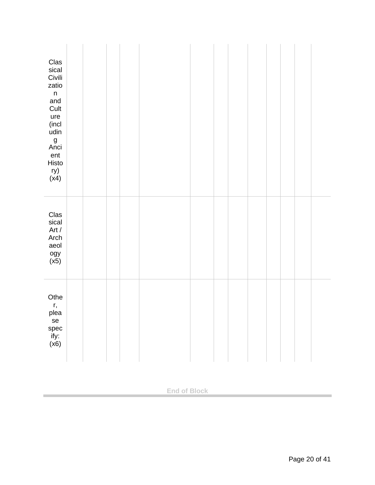| Clas<br>sical<br>Civili<br>zatio<br>$\mathsf n$<br>and<br>Cult<br>ure<br>(incl)<br>udin<br>g<br>Anci<br>ent<br>Histo<br>ry)<br>(x4) |  |  |  |  |  |  |  |
|-------------------------------------------------------------------------------------------------------------------------------------|--|--|--|--|--|--|--|
| Clas<br>sical<br>Art $/$<br>Arch<br>aeol<br>ogy<br>(x5)                                                                             |  |  |  |  |  |  |  |
| Othe<br>r,<br>plea<br>se<br>spec<br>ify:<br>(x6)                                                                                    |  |  |  |  |  |  |  |

**End of Block**

×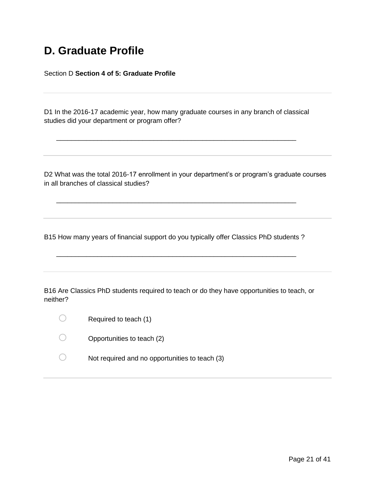#### **D. Graduate Profile**

Section D **Section 4 of 5: Graduate Profile**

D1 In the 2016-17 academic year, how many graduate courses in any branch of classical studies did your department or program offer?

\_\_\_\_\_\_\_\_\_\_\_\_\_\_\_\_\_\_\_\_\_\_\_\_\_\_\_\_\_\_\_\_\_\_\_\_\_\_\_\_\_\_\_\_\_\_\_\_\_\_\_\_\_\_\_\_\_\_\_\_\_\_\_\_

D2 What was the total 2016-17 enrollment in your department's or program's graduate courses in all branches of classical studies?

B15 How many years of financial support do you typically offer Classics PhD students ?

\_\_\_\_\_\_\_\_\_\_\_\_\_\_\_\_\_\_\_\_\_\_\_\_\_\_\_\_\_\_\_\_\_\_\_\_\_\_\_\_\_\_\_\_\_\_\_\_\_\_\_\_\_\_\_\_\_\_\_\_\_\_\_\_

\_\_\_\_\_\_\_\_\_\_\_\_\_\_\_\_\_\_\_\_\_\_\_\_\_\_\_\_\_\_\_\_\_\_\_\_\_\_\_\_\_\_\_\_\_\_\_\_\_\_\_\_\_\_\_\_\_\_\_\_\_\_\_\_

B16 Are Classics PhD students required to teach or do they have opportunities to teach, or neither?

- $\bigcirc$  Required to teach (1)
- $\bigcirc$  Opportunities to teach (2)
- $\bigcirc$  Not required and no opportunities to teach (3)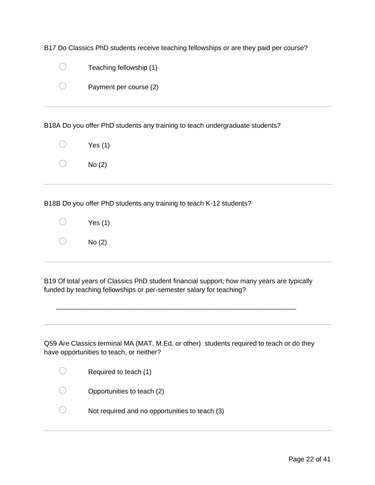| B17 Do Classics PhD students receive teaching fellowships or are they paid per course? |  |  |
|----------------------------------------------------------------------------------------|--|--|
|----------------------------------------------------------------------------------------|--|--|

| Teaching fellowship (1) |
|-------------------------|
| Payment per course (2)  |

B18A Do you offer PhD students any training to teach undergraduate students?

| Yes (1) |
|---------|
| No (2)  |

B18B Do you offer PhD students any training to teach K-12 students?

| Yes $(1)$ |
|-----------|
| No(2)     |

B19 Of total years of Classics PhD student financial support, how many years are typically funded by teaching fellowships or per-semester salary for teaching?

\_\_\_\_\_\_\_\_\_\_\_\_\_\_\_\_\_\_\_\_\_\_\_\_\_\_\_\_\_\_\_\_\_\_\_\_\_\_\_\_\_\_\_\_\_\_\_\_\_\_\_\_\_\_\_\_\_\_\_\_\_\_\_\_

Q59 Are Classics terminal MA (MAT, M.Ed. or other) students required to teach or do they have opportunities to teach, or neither?

| Required to teach (1)                          |
|------------------------------------------------|
| Opportunities to teach (2)                     |
| Not required and no opportunities to teach (3) |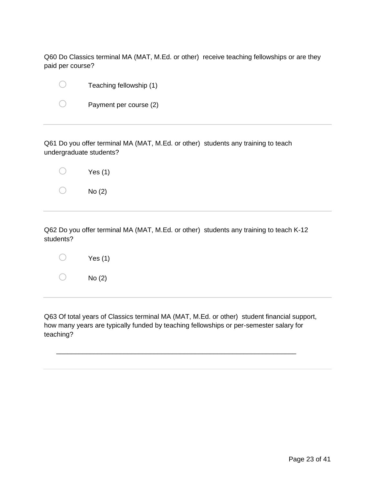Q60 Do Classics terminal MA (MAT, M.Ed. or other) receive teaching fellowships or are they paid per course?

| $\bigcirc$ | Teaching fellowship (1) |
|------------|-------------------------|
| $\cup$     | Payment per course (2)  |

Q61 Do you offer terminal MA (MAT, M.Ed. or other) students any training to teach undergraduate students?

|                   | $\bigcirc$ Yes (1) |
|-------------------|--------------------|
| $\bigcirc$ No (2) |                    |

Q62 Do you offer terminal MA (MAT, M.Ed. or other) students any training to teach K-12 students?

| Yes $(1)$ |
|-----------|
| No(2)     |

Q63 Of total years of Classics terminal MA (MAT, M.Ed. or other) student financial support, how many years are typically funded by teaching fellowships or per-semester salary for teaching?

\_\_\_\_\_\_\_\_\_\_\_\_\_\_\_\_\_\_\_\_\_\_\_\_\_\_\_\_\_\_\_\_\_\_\_\_\_\_\_\_\_\_\_\_\_\_\_\_\_\_\_\_\_\_\_\_\_\_\_\_\_\_\_\_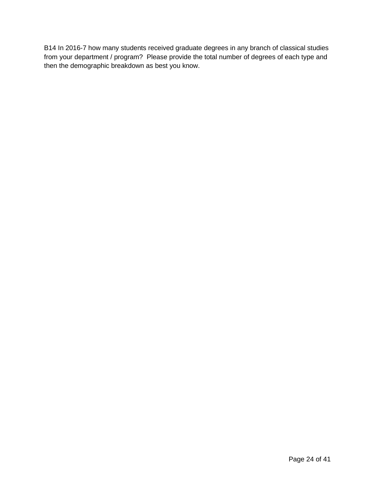B14 In 2016-7 how many students received graduate degrees in any branch of classical studies from your department / program? Please provide the total number of degrees of each type and then the demographic breakdown as best you know.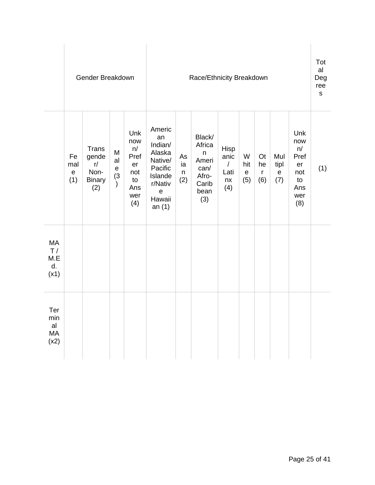|                                | Gender Breakdown                |                                                      |                                                                  | Race/Ethnicity Breakdown                                         |                                                                                                                    |                      |                                                                         |                                                       |                                 |                                        |                                    | Tot<br>al<br>Deg<br>ree<br>$\mathsf S$                           |     |
|--------------------------------|---------------------------------|------------------------------------------------------|------------------------------------------------------------------|------------------------------------------------------------------|--------------------------------------------------------------------------------------------------------------------|----------------------|-------------------------------------------------------------------------|-------------------------------------------------------|---------------------------------|----------------------------------------|------------------------------------|------------------------------------------------------------------|-----|
|                                | Fe<br>mal<br>$\mathbf e$<br>(1) | Trans<br>gende<br>r/<br>Non-<br><b>Binary</b><br>(2) | M<br>al<br>$\mathsf{e}% _{t}\left( \mathsf{e}_{t}\right)$<br>(3) | Unk<br>now<br>n/<br>Pref<br>er<br>not<br>to<br>Ans<br>wer<br>(4) | Americ<br>an<br>Indian/<br>Alaska<br>Native/<br>Pacific<br>Islande<br>r/Nativ<br>$\mathsf e$<br>Hawaii<br>an $(1)$ | As<br>ia<br>n<br>(2) | Black/<br>Africa<br>n<br>Ameri<br>can/<br>Afro-<br>Carib<br>bean<br>(3) | Hisp<br>anic<br>$\boldsymbol{I}$<br>Lati<br>nx<br>(4) | W<br>hit<br>$\mathbf{e}$<br>(5) | <b>Ot</b><br>he<br>$\mathsf{r}$<br>(6) | Mul<br>tipl<br>$\mathbf{e}$<br>(7) | Unk<br>now<br>n/<br>Pref<br>er<br>not<br>to<br>Ans<br>wer<br>(8) | (1) |
| MA<br>T/<br>M.E<br>d.<br>(x1)  |                                 |                                                      |                                                                  |                                                                  |                                                                                                                    |                      |                                                                         |                                                       |                                 |                                        |                                    |                                                                  |     |
| Ter<br>min<br>al<br>MA<br>(x2) |                                 |                                                      |                                                                  |                                                                  |                                                                                                                    |                      |                                                                         |                                                       |                                 |                                        |                                    |                                                                  |     |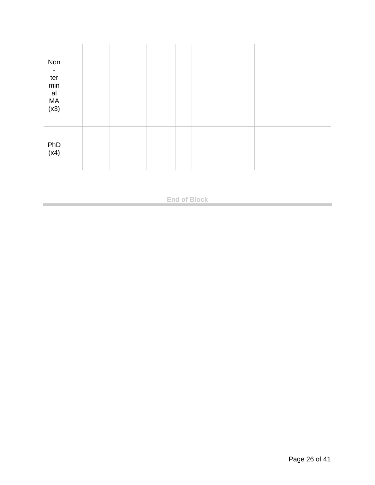| Non<br>$\overline{\phantom{a}}$<br>ter<br>$\min$<br>a<br>MA(x3) |  |  |  |  |  |  |  |
|-----------------------------------------------------------------|--|--|--|--|--|--|--|
| PhD<br>(x4)                                                     |  |  |  |  |  |  |  |

**End of Block**

 $\sim$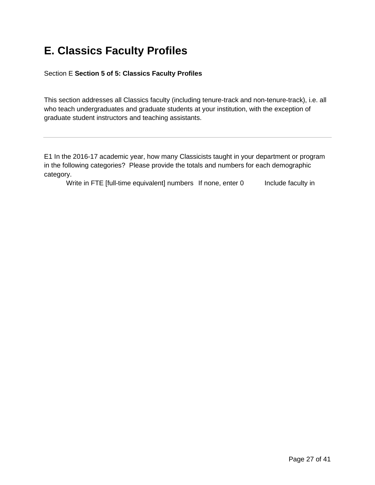### **E. Classics Faculty Profiles**

Section E **Section 5 of 5: Classics Faculty Profiles**

This section addresses all Classics faculty (including tenure-track and non-tenure-track), i.e. all who teach undergraduates and graduate students at your institution, with the exception of graduate student instructors and teaching assistants.

E1 In the 2016-17 academic year, how many Classicists taught in your department or program in the following categories? Please provide the totals and numbers for each demographic category.

Write in FTE [full-time equivalent] numbers If none, enter 0 Include faculty in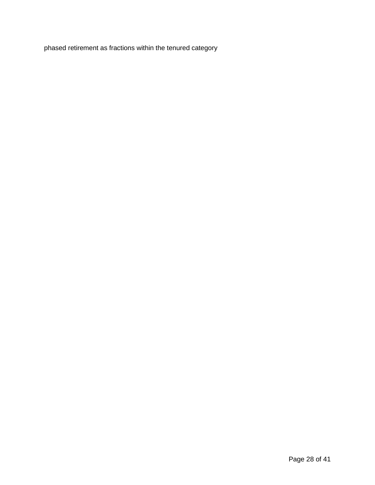phased retirement as fractions within the tenured category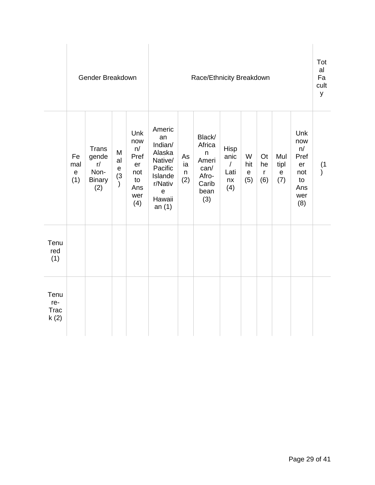|                                    | Gender Breakdown                              |                                                      |                                                | Race/Ethnicity Breakdown                                         |                                                                                                                    |                      |                                                                         |                                                 |                                |                                        |                                 | Tot<br>al<br>Fa<br>cult<br>У                                     |                  |
|------------------------------------|-----------------------------------------------|------------------------------------------------------|------------------------------------------------|------------------------------------------------------------------|--------------------------------------------------------------------------------------------------------------------|----------------------|-------------------------------------------------------------------------|-------------------------------------------------|--------------------------------|----------------------------------------|---------------------------------|------------------------------------------------------------------|------------------|
|                                    | Fe<br>mal<br>$\boldsymbol{\mathsf{e}}$<br>(1) | Trans<br>gende<br>r/<br>Non-<br><b>Binary</b><br>(2) | M<br>al<br>$\mathsf e$<br>(3)<br>$\mathcal{E}$ | Unk<br>now<br>n/<br>Pref<br>er<br>not<br>to<br>Ans<br>wer<br>(4) | Americ<br>an<br>Indian/<br>Alaska<br>Native/<br>Pacific<br>Islande<br>r/Nativ<br>$\mathbf e$<br>Hawaii<br>an $(1)$ | As<br>ia<br>n<br>(2) | Black/<br>Africa<br>n<br>Ameri<br>can/<br>Afro-<br>Carib<br>bean<br>(3) | Hisp<br>anic<br>$\sqrt{2}$<br>Lati<br>nx<br>(4) | W<br>hit<br>$\mathbf e$<br>(5) | <b>Ot</b><br>he<br>$\mathsf{r}$<br>(6) | Mul<br>tipl<br>${\bf e}$<br>(7) | Unk<br>now<br>n/<br>Pref<br>er<br>not<br>to<br>Ans<br>wer<br>(8) | (1)<br>$\lambda$ |
| Tenu<br>red<br>(1)                 |                                               |                                                      |                                                |                                                                  |                                                                                                                    |                      |                                                                         |                                                 |                                |                                        |                                 |                                                                  |                  |
| Tenu<br>re-<br><b>Trac</b><br>k(2) |                                               |                                                      |                                                |                                                                  |                                                                                                                    |                      |                                                                         |                                                 |                                |                                        |                                 |                                                                  |                  |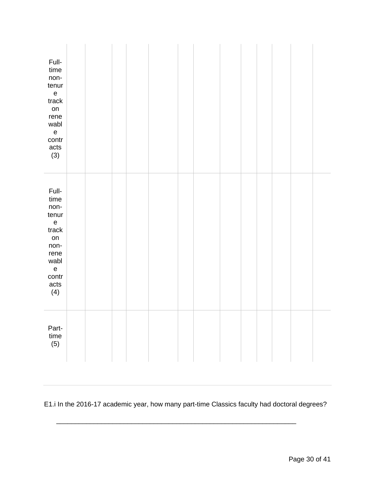| Full-<br>time<br>non-<br>tenur<br>$\mathsf{e}% _{t}\left( t\right)$<br>track<br>on<br>rene<br>wabl<br>$\mathsf e$<br>contr<br>acts<br>(3)         |  |  |  |  |  |  |  |
|---------------------------------------------------------------------------------------------------------------------------------------------------|--|--|--|--|--|--|--|
| Full-<br>time<br>non-<br>tenur<br>$\mathsf e$<br>track<br>on<br>non-<br>rene<br>wabl<br>$\mathsf{e}% _{t}\left( t\right)$<br>contr<br>acts<br>(4) |  |  |  |  |  |  |  |
| Part-<br>$time$<br>(5)                                                                                                                            |  |  |  |  |  |  |  |

E1.i In the 2016-17 academic year, how many part-time Classics faculty had doctoral degrees?

\_\_\_\_\_\_\_\_\_\_\_\_\_\_\_\_\_\_\_\_\_\_\_\_\_\_\_\_\_\_\_\_\_\_\_\_\_\_\_\_\_\_\_\_\_\_\_\_\_\_\_\_\_\_\_\_\_\_\_\_\_\_\_\_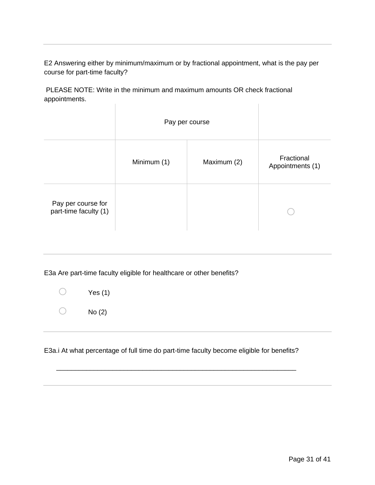E2 Answering either by minimum/maximum or by fractional appointment, what is the pay per course for part-time faculty?

PLEASE NOTE: Write in the minimum and maximum amounts OR check fractional appointments. J.  $\mathbf{r}$ 

|                                             |             | Pay per course |                                |
|---------------------------------------------|-------------|----------------|--------------------------------|
|                                             | Minimum (1) | Maximum (2)    | Fractional<br>Appointments (1) |
| Pay per course for<br>part-time faculty (1) |             |                |                                |

E3a Are part-time faculty eligible for healthcare or other benefits?

| Yes (1) |
|---------|
| No(2)   |

E3a.i At what percentage of full time do part-time faculty become eligible for benefits?

\_\_\_\_\_\_\_\_\_\_\_\_\_\_\_\_\_\_\_\_\_\_\_\_\_\_\_\_\_\_\_\_\_\_\_\_\_\_\_\_\_\_\_\_\_\_\_\_\_\_\_\_\_\_\_\_\_\_\_\_\_\_\_\_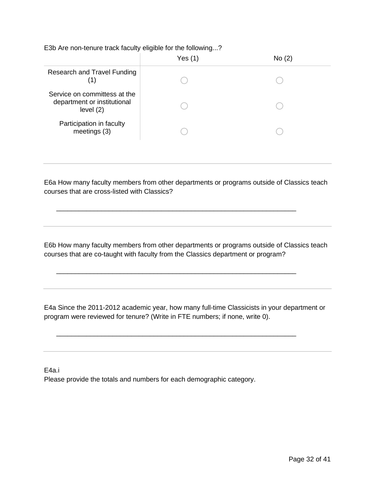E3b Are non-tenure track faculty eligible for the following...?

|                                                                         | Yes $(1)$ | No (2) |  |
|-------------------------------------------------------------------------|-----------|--------|--|
| Research and Travel Funding                                             |           |        |  |
| Service on committess at the<br>department or institutional<br>level(2) |           |        |  |
| Participation in faculty<br>meetings (3)                                |           |        |  |
|                                                                         |           |        |  |

E6a How many faculty members from other departments or programs outside of Classics teach courses that are cross-listed with Classics?

\_\_\_\_\_\_\_\_\_\_\_\_\_\_\_\_\_\_\_\_\_\_\_\_\_\_\_\_\_\_\_\_\_\_\_\_\_\_\_\_\_\_\_\_\_\_\_\_\_\_\_\_\_\_\_\_\_\_\_\_\_\_\_\_

\_\_\_\_\_\_\_\_\_\_\_\_\_\_\_\_\_\_\_\_\_\_\_\_\_\_\_\_\_\_\_\_\_\_\_\_\_\_\_\_\_\_\_\_\_\_\_\_\_\_\_\_\_\_\_\_\_\_\_\_\_\_\_\_

\_\_\_\_\_\_\_\_\_\_\_\_\_\_\_\_\_\_\_\_\_\_\_\_\_\_\_\_\_\_\_\_\_\_\_\_\_\_\_\_\_\_\_\_\_\_\_\_\_\_\_\_\_\_\_\_\_\_\_\_\_\_\_\_

E6b How many faculty members from other departments or programs outside of Classics teach courses that are co-taught with faculty from the Classics department or program?

E4a Since the 2011-2012 academic year, how many full-time Classicists in your department or program were reviewed for tenure? (Write in FTE numbers; if none, write 0).

E4a.i

Please provide the totals and numbers for each demographic category.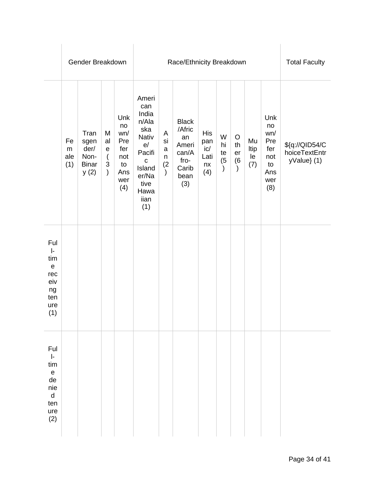|                                                                                                              |                       | Gender Breakdown                                     |                                                                             |                                                                  |                                                                                                                                 | Race/Ethnicity Breakdown                             | <b>Total Faculty</b>                                                           |                                           |                                       |                                       |                         |                                                                  |                                                |
|--------------------------------------------------------------------------------------------------------------|-----------------------|------------------------------------------------------|-----------------------------------------------------------------------------|------------------------------------------------------------------|---------------------------------------------------------------------------------------------------------------------------------|------------------------------------------------------|--------------------------------------------------------------------------------|-------------------------------------------|---------------------------------------|---------------------------------------|-------------------------|------------------------------------------------------------------|------------------------------------------------|
|                                                                                                              | Fe<br>m<br>ale<br>(1) | Tran<br>sgen<br>der/<br>Non-<br><b>Binar</b><br>y(2) | M<br>al<br>$\mathbf e$<br>$\overline{(}$<br>$\mathfrak{S}$<br>$\mathcal{L}$ | Unk<br>no<br>wn/<br>Pre<br>fer<br>not<br>to<br>Ans<br>wer<br>(4) | Ameri<br>can<br>India<br>n/Ala<br>ska<br>Nativ<br>e/<br>Pacifi<br>$\mathbf C$<br>Island<br>er/Na<br>tive<br>Hawa<br>iian<br>(1) | Α<br>si<br>$\mathsf{a}$<br>n<br>(2)<br>$\mathcal{C}$ | <b>Black</b><br>/Afric<br>an<br>Ameri<br>can/A<br>fro-<br>Carib<br>bean<br>(3) | His<br>pan<br>ic/<br>Lati<br>$n x$<br>(4) | W<br>hi<br>te<br>(5)<br>$\mathcal{E}$ | $\circ$<br>th<br>er<br>(6)<br>$\big)$ | Mu<br>Itip<br>le<br>(7) | Unk<br>no<br>wn/<br>Pre<br>fer<br>not<br>to<br>Ans<br>wer<br>(8) | \${q://QID54/C<br>hoiceTextEntr<br>yValue} (1) |
| Ful<br>$\left\vert \cdot\right\vert$<br>tim<br>$\mathbf e$<br>rec<br>eiv<br>ng<br>ten<br>ure<br>(1)          |                       |                                                      |                                                                             |                                                                  |                                                                                                                                 |                                                      |                                                                                |                                           |                                       |                                       |                         |                                                                  |                                                |
| Ful<br>$\mathsf{I}\text{-}$<br>tim<br>$\boldsymbol{\mathsf{e}}$<br>de<br>nie<br>$\sf d$<br>ten<br>ure<br>(2) |                       |                                                      |                                                                             |                                                                  |                                                                                                                                 |                                                      |                                                                                |                                           |                                       |                                       |                         |                                                                  |                                                |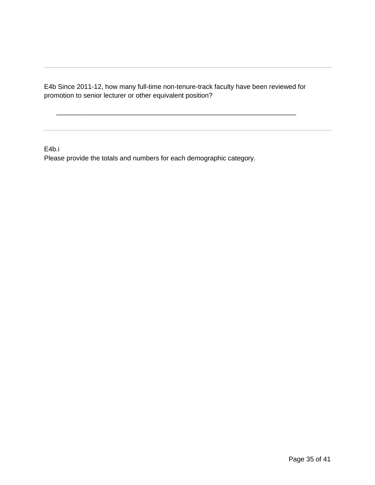E4b Since 2011-12, how many full-time non-tenure-track faculty have been reviewed for promotion to senior lecturer or other equivalent position?

\_\_\_\_\_\_\_\_\_\_\_\_\_\_\_\_\_\_\_\_\_\_\_\_\_\_\_\_\_\_\_\_\_\_\_\_\_\_\_\_\_\_\_\_\_\_\_\_\_\_\_\_\_\_\_\_\_\_\_\_\_\_\_\_

E4b.i Please provide the totals and numbers for each demographic category.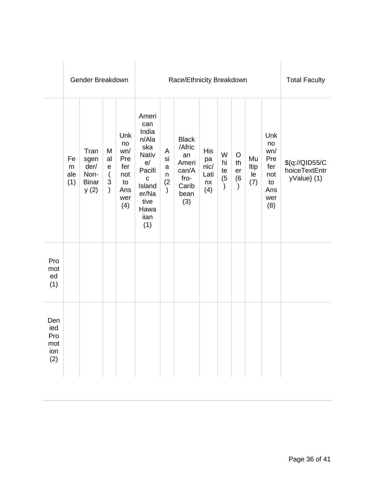|                                        |                       | Gender Breakdown                                     |                                                                                         |                                                                  |                                                                                                                                        | <b>Total Faculty</b>                      |                                                                                |                                               |                                       |                                       |                         |                                                                  |                                                |
|----------------------------------------|-----------------------|------------------------------------------------------|-----------------------------------------------------------------------------------------|------------------------------------------------------------------|----------------------------------------------------------------------------------------------------------------------------------------|-------------------------------------------|--------------------------------------------------------------------------------|-----------------------------------------------|---------------------------------------|---------------------------------------|-------------------------|------------------------------------------------------------------|------------------------------------------------|
|                                        | Fe<br>m<br>ale<br>(1) | Tran<br>sgen<br>der/<br>Non-<br><b>Binar</b><br>y(2) | M<br>al<br>$\mathsf{e}$<br>$\overline{(}$<br>$\ensuremath{\mathsf{3}}$<br>$\mathcal{C}$ | Unk<br>no<br>wn/<br>Pre<br>fer<br>not<br>to<br>Ans<br>wer<br>(4) | Ameri<br>can<br>India<br>n/Ala<br>ska<br><b>Nativ</b><br>e/<br>Pacifi<br>$\mathbf c$<br>Island<br>er/Na<br>tive<br>Hawa<br>iian<br>(1) | A<br>si<br>a<br>n<br>(2)<br>$\mathcal{C}$ | <b>Black</b><br>/Afric<br>an<br>Ameri<br>can/A<br>fro-<br>Carib<br>bean<br>(3) | <b>His</b><br>pa<br>nic/<br>Lati<br>nx<br>(4) | W<br>hi<br>te<br>(5)<br>$\mathcal{E}$ | O<br>th<br>er<br>(6)<br>$\mathcal{L}$ | Mu<br>Itip<br>le<br>(7) | Unk<br>no<br>wn/<br>Pre<br>fer<br>not<br>to<br>Ans<br>wer<br>(8) | \${q://QID55/C<br>hoiceTextEntr<br>yValue} (1) |
| Pro<br>mot<br>ed<br>(1)                |                       |                                                      |                                                                                         |                                                                  |                                                                                                                                        |                                           |                                                                                |                                               |                                       |                                       |                         |                                                                  |                                                |
| Den<br>ied<br>Pro<br>mot<br>ion<br>(2) |                       |                                                      |                                                                                         |                                                                  |                                                                                                                                        |                                           |                                                                                |                                               |                                       |                                       |                         |                                                                  |                                                |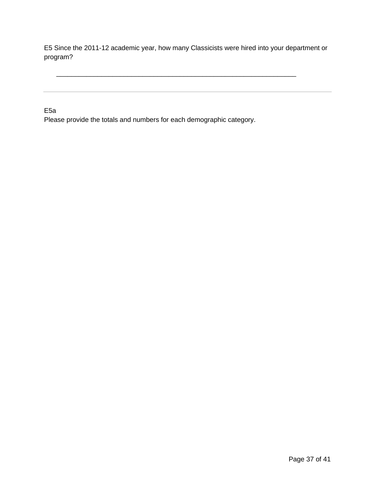E5 Since the 2011-12 academic year, how many Classicists were hired into your department or program?

\_\_\_\_\_\_\_\_\_\_\_\_\_\_\_\_\_\_\_\_\_\_\_\_\_\_\_\_\_\_\_\_\_\_\_\_\_\_\_\_\_\_\_\_\_\_\_\_\_\_\_\_\_\_\_\_\_\_\_\_\_\_\_\_

E5a

Please provide the totals and numbers for each demographic category.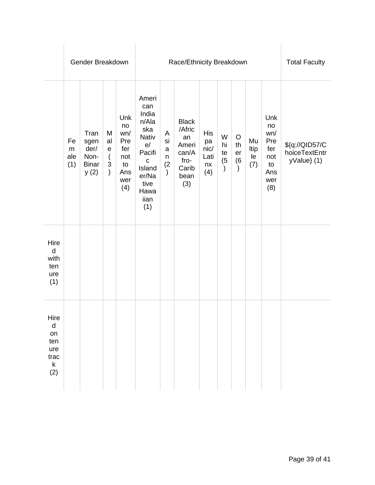|                                                                    |                               | Gender Breakdown                                     |                                                                |                                                                  |                                                                                                                                        | <b>Total Faculty</b>                                       |                                                                                |                                        |                                 |                                                |                         |                                                                  |                                                |
|--------------------------------------------------------------------|-------------------------------|------------------------------------------------------|----------------------------------------------------------------|------------------------------------------------------------------|----------------------------------------------------------------------------------------------------------------------------------------|------------------------------------------------------------|--------------------------------------------------------------------------------|----------------------------------------|---------------------------------|------------------------------------------------|-------------------------|------------------------------------------------------------------|------------------------------------------------|
|                                                                    | Fe<br>${\sf m}$<br>ale<br>(1) | Tran<br>sgen<br>der/<br>Non-<br><b>Binar</b><br>y(2) | M<br>al<br>$\mathsf e$<br>(<br>$\mathfrak{S}$<br>$\mathcal{L}$ | Unk<br>no<br>wn/<br>Pre<br>fer<br>not<br>to<br>Ans<br>wer<br>(4) | Ameri<br>can<br>India<br>n/Ala<br>ska<br><b>Nativ</b><br>e/<br>Pacifi<br>$\mathbf C$<br>Island<br>er/Na<br>tive<br>Hawa<br>iian<br>(1) | A<br>si<br>$\mathsf{a}$<br>$\sf n$<br>(2)<br>$\mathcal{E}$ | <b>Black</b><br>/Afric<br>an<br>Ameri<br>can/A<br>fro-<br>Carib<br>bean<br>(3) | His<br>pa<br>nic/<br>Lati<br>nx<br>(4) | W<br>hi<br>te<br>$\binom{5}{ }$ | $\circ$<br>th<br>er<br>(6)<br>$\left( \right)$ | Mu<br>Itip<br>le<br>(7) | Unk<br>no<br>wn/<br>Pre<br>fer<br>not<br>to<br>Ans<br>wer<br>(8) | \${q://QID57/C<br>hoiceTextEntr<br>yValue} (1) |
| Hire<br>$\mathsf{d}$<br>with<br>ten<br>ure<br>(1)                  |                               |                                                      |                                                                |                                                                  |                                                                                                                                        |                                                            |                                                                                |                                        |                                 |                                                |                         |                                                                  |                                                |
| Hire<br>$\mathsf{d}$<br>on<br>ten<br>ure<br>trac<br>$\sf k$<br>(2) |                               |                                                      |                                                                |                                                                  |                                                                                                                                        |                                                            |                                                                                |                                        |                                 |                                                |                         |                                                                  |                                                |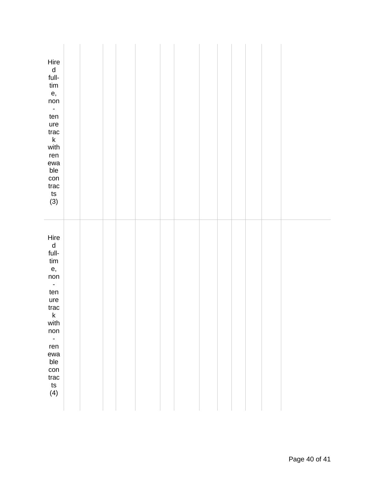| Hire<br>$\frac{\mathsf{d}}{\mathsf{full}}$<br>tim<br>e,<br>non<br>$\mathbb{Z}^{\mathbb{Z}}$<br>ten<br>ure<br>$_{\text{trac}}$<br>$\mathsf k$<br>with<br>ren<br>ewa<br>ble<br>con<br>$_{\text{trac}}$<br>ts<br>$(3)$     |  |  |  |  |  |  |  |
|-------------------------------------------------------------------------------------------------------------------------------------------------------------------------------------------------------------------------|--|--|--|--|--|--|--|
| Hire<br>$\frac{d}{full}$<br>$\lim$<br>e,<br>non<br>$\mathbb{Z}^{\mathbb{Z}}$<br>ten<br>ure<br>trac<br>$\sf k$<br>with<br>non<br>$\overline{\phantom{a}}$<br>ren<br>ewa<br>ble<br>con<br>$_{\text{trac}}$<br>ts<br>$(4)$ |  |  |  |  |  |  |  |